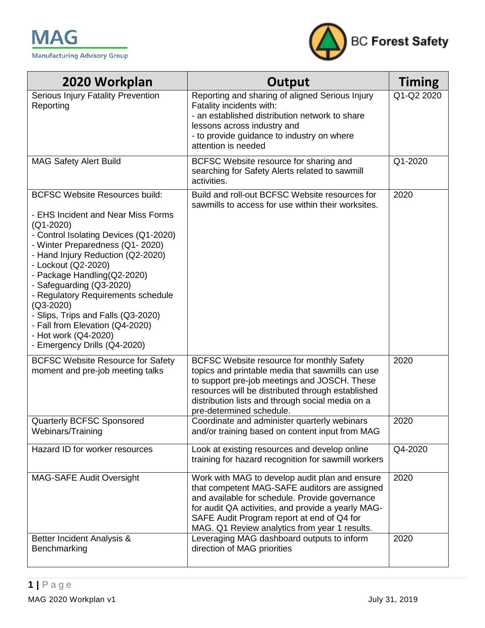

| 2020 Workplan                                                                                                                                                                                                                                                                                                                                                                                                                                                                         | Output                                                                                                                                                                                                                                                                                                 | <b>Timing</b> |
|---------------------------------------------------------------------------------------------------------------------------------------------------------------------------------------------------------------------------------------------------------------------------------------------------------------------------------------------------------------------------------------------------------------------------------------------------------------------------------------|--------------------------------------------------------------------------------------------------------------------------------------------------------------------------------------------------------------------------------------------------------------------------------------------------------|---------------|
| Serious Injury Fatality Prevention<br>Reporting                                                                                                                                                                                                                                                                                                                                                                                                                                       | Reporting and sharing of aligned Serious Injury<br>Fatality incidents with:<br>- an established distribution network to share<br>lessons across industry and<br>- to provide guidance to industry on where<br>attention is needed                                                                      | Q1-Q2 2020    |
| <b>MAG Safety Alert Build</b>                                                                                                                                                                                                                                                                                                                                                                                                                                                         | BCFSC Website resource for sharing and<br>searching for Safety Alerts related to sawmill<br>activities.                                                                                                                                                                                                | Q1-2020       |
| <b>BCFSC Website Resources build:</b><br>- EHS Incident and Near Miss Forms<br>$(Q1 - 2020)$<br>- Control Isolating Devices (Q1-2020)<br>- Winter Preparedness (Q1-2020)<br>- Hand Injury Reduction (Q2-2020)<br>- Lockout (Q2-2020)<br>- Package Handling(Q2-2020)<br>- Safeguarding (Q3-2020)<br>- Regulatory Requirements schedule<br>$(Q3-2020)$<br>- Slips, Trips and Falls (Q3-2020)<br>- Fall from Elevation (Q4-2020)<br>- Hot work (Q4-2020)<br>- Emergency Drills (Q4-2020) | Build and roll-out BCFSC Website resources for<br>sawmills to access for use within their worksites.                                                                                                                                                                                                   | 2020          |
| <b>BCFSC Website Resource for Safety</b><br>moment and pre-job meeting talks                                                                                                                                                                                                                                                                                                                                                                                                          | BCFSC Website resource for monthly Safety<br>topics and printable media that sawmills can use<br>to support pre-job meetings and JOSCH. These<br>resources will be distributed through established<br>distribution lists and through social media on a<br>pre-determined schedule.                     | 2020          |
| Quarterly BCFSC Sponsored<br>Webinars/Training                                                                                                                                                                                                                                                                                                                                                                                                                                        | Coordinate and administer quarterly webinars<br>and/or training based on content input from MAG                                                                                                                                                                                                        | 2020          |
| Hazard ID for worker resources                                                                                                                                                                                                                                                                                                                                                                                                                                                        | Look at existing resources and develop online<br>training for hazard recognition for sawmill workers                                                                                                                                                                                                   | Q4-2020       |
| <b>MAG-SAFE Audit Oversight</b>                                                                                                                                                                                                                                                                                                                                                                                                                                                       | Work with MAG to develop audit plan and ensure<br>that competent MAG-SAFE auditors are assigned<br>and available for schedule. Provide governance<br>for audit QA activities, and provide a yearly MAG-<br>SAFE Audit Program report at end of Q4 for<br>MAG. Q1 Review analytics from year 1 results. | 2020          |
| Better Incident Analysis &<br>Benchmarking                                                                                                                                                                                                                                                                                                                                                                                                                                            | Leveraging MAG dashboard outputs to inform<br>direction of MAG priorities                                                                                                                                                                                                                              | 2020          |